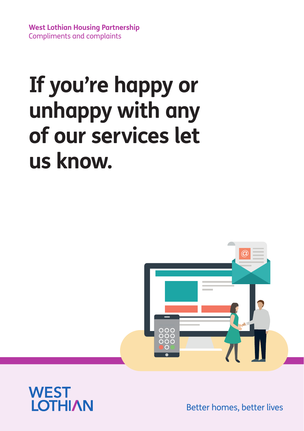**West Lothian Housing Partnership** Compliments and complaints

# **If you're happy or unhappy with any of our services let us know.**





Better homes, better lives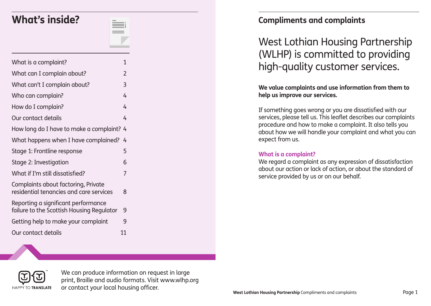## **What's inside?**

| What is a complaint?                                                             | 1  |
|----------------------------------------------------------------------------------|----|
| What can I complain about?                                                       | 2  |
| What can't I complain about?                                                     | 3  |
| Who can complain?                                                                | 4  |
| How do I complain?                                                               | 4  |
| Our contact details                                                              | 4  |
| How long do I have to make a complaint? 4                                        |    |
| What happens when I have complained?                                             | 4  |
| Stage 1: Frontline response                                                      | 5  |
| Stage 2: Investigation                                                           | 6  |
| What if I'm still dissatisfied?                                                  | 7  |
| Complaints about factoring, Private<br>residential tenancies and care services   | 8  |
| Reporting a significant performance<br>failure to the Scottish Housing Regulator | 9  |
| Getting help to make your complaint                                              | 9  |
| Our contact details                                                              | 11 |

### **Compliments and complaints**

### West Lothian Housing Partnership (WLHP) is committed to providing high-quality customer services.

**We value complaints and use information from them to help us improve our services.**

If something goes wrong or you are dissatisfied with our services, please tell us. This leaflet describes our complaints procedure and how to make a complaint. It also tells you about how we will handle your complaint and what you can expect from us.

### **What is a complaint?**

We regard a complaint as any expression of dissatisfaction about our action or lack of action, or about the standard of service provided by us or on our behalf.



We can produce information on request in large print, Braille and audio formats. Visit www.wlhp.org or contact your local housing officer.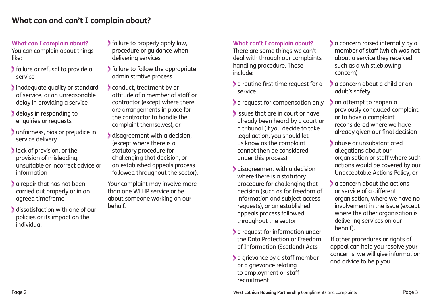### **What can and can't I complain about?**

#### **What can I complain about?** You can complain about things like:

- failure or refusal to provide a service
- Inadequate quality or standard of service, or an unreasonable delay in providing a service
- delays in responding to enquiries or requests
- unfairness, bias or prejudice in service delivery
- **lack of provision, or the** provision of misleading, unsuitable or incorrect advice or information
- a repair that has not been carried out properly or in an agreed timeframe
- dissatisfaction with one of our policies or its impact on the individual
- failure to properly apply law, procedure or guidance when delivering services
- failure to follow the appropriate administrative process
- conduct, treatment by or attitude of a member of staff or contractor (except where there are arrangements in place for the contractor to handle the complaint themselves); or
- disagreement with a decision, (except where there is a statutory procedure for challenging that decision, or an established appeals process followed throughout the sector).

Your complaint may involve more than one WLHP service or be about someone working on our behalf.

### **What can't I complain about?**

There are some things we can't deal with through our complaints handling procedure. These include:

- a routine first-time request for a service
- a request for compensation only
- issues that are in court or have already been heard by a court or a tribunal (if you decide to take legal action, you should let us know as the complaint cannot then be considered under this process)
- disagreement with a decision where there is a statutory procedure for challenging that decision (such as for freedom of information and subject access requests), or an established appeals process followed throughout the sector
- **a** request for information under the Data Protection or Freedom of Information (Scotland) Acts
- a grievance by a staff member or a grievance relating to employment or staff recruitment
- a concern raised internally by a member of staff (which was not about a service they received, such as a whistleblowing concern)
- a concern about a child or an adult's safety
- an attempt to reopen a previously concluded complaint or to have a complaint reconsidered where we have already given our final decision
- abuse or unsubstantiated allegations about our organisation or staff where such actions would be covered by our Unacceptable Actions Policy; or
- a concern about the actions or service of a different organisation, where we have no involvement in the issue (except where the other organisation is delivering services on our behalf).

If other procedures or rights of appeal can help you resolve your concerns, we will give information and advice to help you.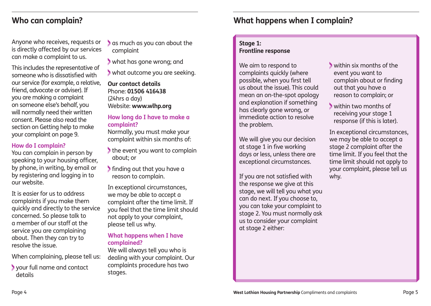Anyone who receives, requests or is directly affected by our services can make a complaint to us.

This includes the representative of someone who is dissatisfied with our service (for example, a relative, friend, advocate or adviser). If you are making a complaint on someone else's behalf, you will normally need their written consent. Please also read the section on Getting help to make your complaint on page 9.

### **How do I complain?**

You can complain in person by speaking to your housing officer, by phone, in writing, by email or by registering and logging in to our website.

It is easier for us to address complaints if you make them quickly and directly to the service concerned. So please talk to a member of our staff at the service you are complaining about. Then they can try to resolve the issue.

When complaining, please tell us:

 your full name and contact details

 as much as you can about the complaint

what has gone wrong; and

what outcome you are seeking.

### **Our contact details** Phone: **01506 416438**  (24hrs a day) Website: **www.wlhp.org**

### **How long do I have to make a complaint?**

Normally, you must make your complaint within six months of:

the event you want to complain about; or

 finding out that you have a reason to complain.

In exceptional circumstances, we may be able to accept a complaint after the time limit. If you feel that the time limit should not apply to your complaint, please tell us why.

### **What happens when I have complained?**

We will always tell you who is dealing with your complaint. Our complaints procedure has two stages.

### **Who can complain? What happens when I complain?**

### **Stage 1:**

### **Frontline response**

We aim to respond to complaints quickly (where possible, when you first tell us about the issue). This could mean an on-the-spot apology and explanation if something has clearly gone wrong, or immediate action to resolve the problem.

We will give you our decision at stage 1 in five working days or less, unless there are exceptional circumstances.

If you are not satisfied with the response we give at this stage, we will tell you what you can do next. If you choose to, you can take your complaint to stage 2. You must normally ask us to consider your complaint at stage 2 either:

- within six months of the event you want to complain about or finding out that you have a reason to complain; or
- within two months of receiving your stage 1 response (if this is later).

In exceptional circumstances, we may be able to accept a stage 2 complaint after the time limit. If you feel that the time limit should not apply to your complaint, please tell us why.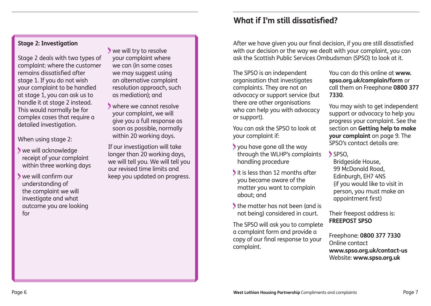#### **Stage 2: Investigation**

Stage 2 deals with two types of complaint: where the customer remains dissatisfied after stage 1. If you do not wish your complaint to be handled at stage 1, you can ask us to handle it at stage 2 instead. This would normally be for complex cases that require a detailed investigation.

When using stage 2:

- we will acknowledge receipt of your complaint within three working days
- we will confirm our understanding of the complaint we will investigate and what outcome you are looking for
- we will try to resolve your complaint where we can (in some cases we may suggest using an alternative complaint resolution approach, such as mediation); and
- where we cannot resolve your complaint, we will give you a full response as soon as possible, normally within 20 working days.

If our investigation will take longer than 20 working days, we will tell you. We will tell you our revised time limits and keep you updated on progress.

### **What if I'm still dissatisfied?**

After we have given you our final decision, if you are still dissatisfied with our decision or the way we dealt with your complaint, you can ask the Scottish Public Services Ombudsman (SPSO) to look at it.

The SPSO is an independent organisation that investigates complaints. They are not an advocacy or support service (but there are other organisations who can help you with advocacy or support).

You can ask the SPSO to look at your complaint if:

- you have gone all the way through the WLHP's complaints handling procedure
- it is less than 12 months after you became aware of the matter you want to complain about; and
- the matter has not been (and is not being) considered in court.

The SPSO will ask you to complete a complaint form and provide a copy of our final response to your complaint.

You can do this online at **www. spso.org.uk/complain/form** or call them on Freephone **0800 377 7330**.

You may wish to get independent support or advocacy to help you progress your complaint. See the section on **Getting help to make your complaint** on page 9. The SPSO's contact details are:

SPSO.

Bridgeside House, 99 McDonald Road, Edinburgh, EH7 4NS (if you would like to visit in person, you must make an appointment first)

Their freepost address is: **FREEPOST SPSO**

Freephone: **0800 377 7330** Online contact **www.spso.org.uk/contact-us** Website: **www.spso.org.uk**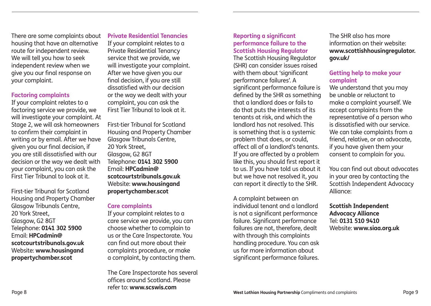There are some complaints about housing that have an alternative route for independent review. We will tell you how to seek independent review when we give you our final response on your complaint.

#### **Factoring complaints**

If your complaint relates to a factoring service we provide, we will investigate your complaint. At Stage 2, we will ask homeowners to confirm their complaint in writing or by email. After we have given you our final decision, if you are still dissatisfied with our decision or the way we dealt with your complaint, you can ask the First Tier Tribunal to look at it.

First-tier Tribunal for Scotland Housing and Property Chamber Glasgow Tribunals Centre, 20 York Street, Glasgow, G2 8GT Telephone: **0141 302 5900** Email: **HPCadmin@ scotcourtstribunals.gov.uk** Website: **www.housingand propertychamber.scot**

### **Private Residential Tenancies**

If your complaint relates to a Private Residential Tenancy service that we provide, we will investigate your complaint. After we have given you our final decision, if you are still dissatisfied with our decision or the way we dealt with your complaint, you can ask the First Tier Tribunal to look at it.

First-tier Tribunal for Scotland Housing and Property Chamber Glasgow Tribunals Centre, 20 York Street, Glasgow, G2 8GT Telephone: **0141 302 5900** Email: **HPCadmin@ scotcourtstribunals.gov.uk** Website: **www.housingand propertychamber.scot**

#### **Care complaints**

If your complaint relates to a care service we provide, you can choose whether to complain to us or the Care Inspectorate. You can find out more about their complaints procedure, or make a complaint, by contacting them.

The Care Inspectorate has several offices around Scotland. Please refer to: **www.scswis.com**

### **Reporting a significant performance failure to the Scottish Housing Regulator**

The Scottish Housing Regulator (SHR) can consider issues raised with them about 'significant performance failures'. A significant performance failure is defined by the SHR as something that a landlord does or fails to do that puts the interests of its tenants at risk, and which the landlord has not resolved. This is something that is a systemic problem that does, or could, affect all of a landlord's tenants. If you are affected by a problem like this, you should first report it to us. If you have told us about it but we have not resolved it, you can report it directly to the SHR.

A complaint between an individual tenant and a landlord is not a significant performance failure. Significant performance failures are not, therefore, dealt with through this complaints handling procedure. You can ask us for more information about significant performance failures.

The SHR also has more information on their website: **www.scottishhousingregulator. gov.uk/**

### **Getting help to make your complaint**

We understand that you may be unable or reluctant to make a complaint yourself. We accept complaints from the representative of a person who is dissatisfied with our service. We can take complaints from a friend, relative, or an advocate, if you have given them your consent to complain for you.

You can find out about advocates in your area by contacting the Scottish Independent Advocacy Alliance:

**Scottish Independent Advocacy Alliance** Tel: **0131 510 9410**  Website: **www.siaa.org.uk**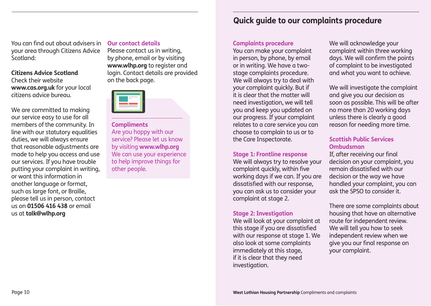You can find out about advisers in your area through Citizens Advice Scotland:

### **Citizens Advice Scotland**

Check their website **www.cas.org.uk** for your local citizens advice bureau.

We are committed to making our service easy to use for all members of the community. In line with our statutory equalities duties, we will always ensure that reasonable adjustments are made to help you access and use our services. If you have trouble putting your complaint in writing, or want this information in another language or format, such as large font, or Braille, please tell us in person, contact us on **01506 416 438** or email us at **talk@wlhp.org**

#### **Our contact details**

Please contact us in writing, by phone, email or by visiting **www.wlhp.org** to register and login. Contact details are provided on the back page.

### **Compliments** Are you happy with our service? Please let us know by visiting **www.wlhp.org**  We can use your experience to help improve things for other people.

### **Quick guide to our complaints procedure**

### **Complaints procedure**

You can make your complaint in person, by phone, by email or in writing. We have a twostage complaints procedure. We will always try to deal with your complaint quickly. But if it is clear that the matter will need investigation, we will tell you and keep you updated on our progress. If your complaint relates to a care service you can choose to complain to us or to the Care Inspectorate.

### **Stage 1: Frontline response**

We will always try to resolve your complaint quickly, within five working days if we can. If you are dissatisfied with our response, you can ask us to consider your complaint at stage 2.

### **Stage 2: Investigation**

We will look at your complaint at this stage if you are dissatisfied with our response at stage 1. We also look at some complaints immediately at this stage, if it is clear that they need investigation.

We will acknowledge your complaint within three working days. We will confirm the points of complaint to be investigated and what you want to achieve.

We will investigate the complaint and give you our decision as soon as possible. This will be after no more than 20 working days unless there is clearly a good reason for needing more time.

### **Scottish Public Services Ombudsman**

If, after receiving our final decision on your complaint, you remain dissatisfied with our decision or the way we have handled your complaint, you can ask the SPSO to consider it.

There are some complaints about housing that have an alternative route for independent review. We will tell you how to seek independent review when we give you our final response on your complaint.